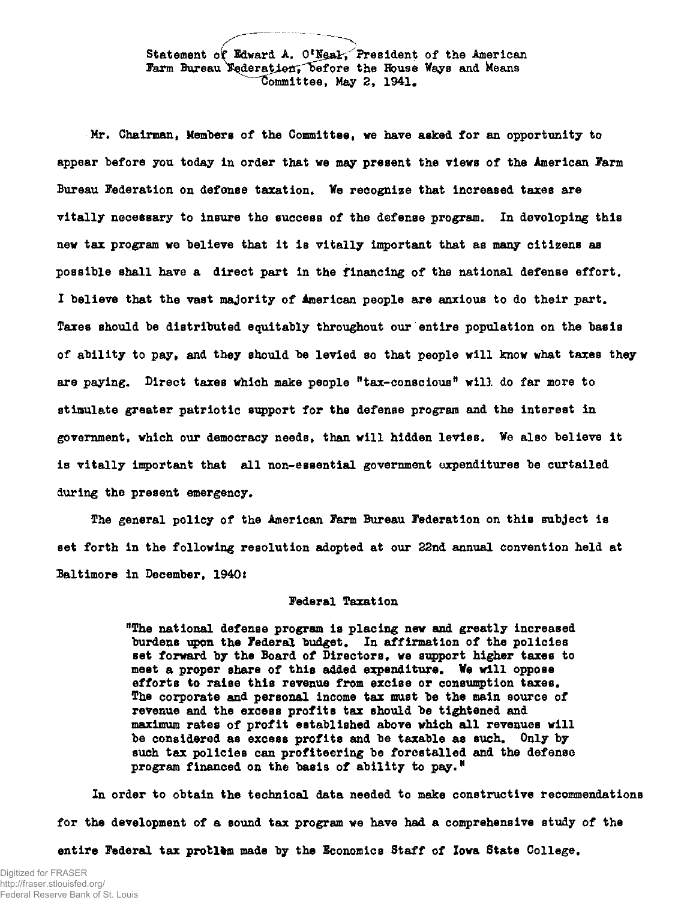Statement of Edward A. O'Ngal, President of the American Farm Bureau Nederation, before the House Ways and Means  $\overline{\text{Commititee}}$ , May 2, 1941.

Mr. Chairman, Members of the Committee, we have asked for an opportunity to appear before you today in order that we may present the views of the American Farm Bureau Federation on defonse taxation. Ve recognize that increased taxes are vitally necessary to insure the success of the defense program. In developing this new tax program we believe that it is vitally important that as many citizens as possible shall have a direct part in the financing of the national defense effort. I believe that the vast majority of American people are anxious to do their part. Taxes should be distributed equitably throughout our entire population on the basis of ability to pay, and they should be levied so that people will know what taxes they are paying. Direct taxes which make people "tax-conscious" will do far more to stimulate greater patriotic support for the defense program and the interest in government, which our democracy needs, than will hidden levies. We also believe it is vitally important that all non-essential government expenditures be curtailed during the present emergency.

The general policy of the American Farm Bureau Federation on this subject is set forth in the following resolution adopted at our 22nd annual convention held at Baltimore in December, 1940:

## Federal Taxation

"The national defense program is placing new and greatly increased burdens upon the Federal budget. In affirmation of the policies set forward by the Board of Directors, we support higher taxes to meet a proper share of this added expenditure. We will oppose efforts to raise this revenue from excise or consumption taxes. The corporate and personal income tax must be the main source of revenue and the excess profits tax should be tightened and maximum rates of profit established above which all revenues will be considered as excess profits and be taxable as such. Only by such tax policies can profiteering be forestalled and the defense program financed on the basis of ability to pay.<sup> $N$ </sup>

In order to obtain the technical data needed to make constructive recommendations for the development of a sound tax program we have had a comprehensive study of the

entire Federal tax protlem made by the Economics Staff of Iowa State College.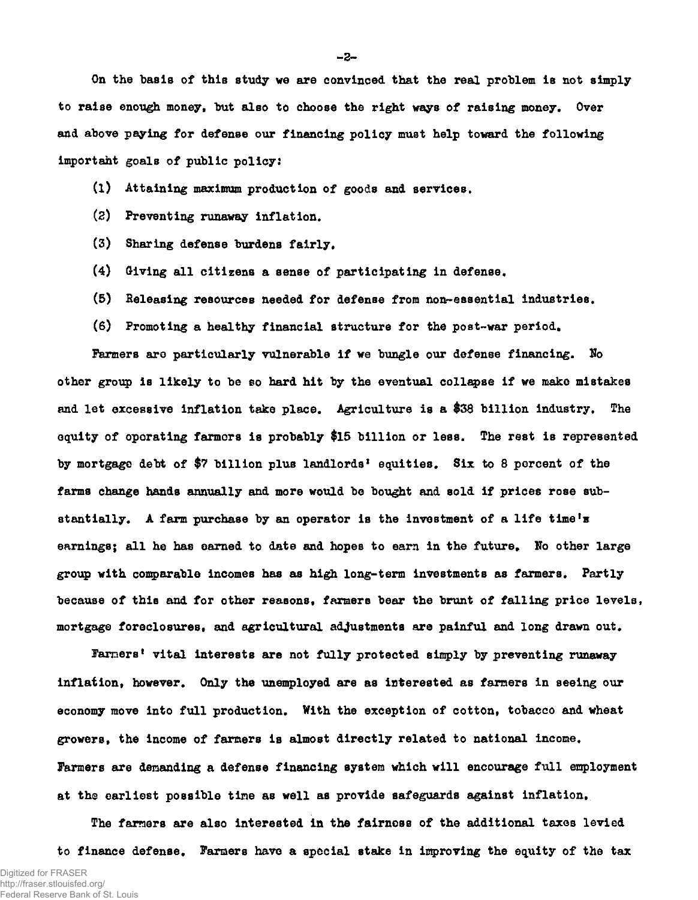On the basis of this study we are convinced that the real problem is not simply to raise enough money, but also to choose the right ways of raising money. Over and above paying for defense our financing policy must help toward the following importaht goals of public policy:

- (1) Attaining maximum production of goods and services.
- (2) Preventing runaway inflation.
- (3) Sharing defense burdens fairly,
- (4) (Jiving all citizens a sense of participating in defense,
- (5) Releasing resources needed for defense from non-essential industries.
- (6) Promoting a healthy financial structure for the post-war period.

Farmers are particularly vulnerable if we bungle our defense financing. No other group is likely to be so hard hit by the eventual collapse if we make mistakes and let excessive inflation take place. Agriculture is a \$38 billion industry. The equity of operating farmers is probably \$15 billion or less. The rest is represented by mortgage debt of \$7 billion plus landlords' equities. Six to 8 percent of the farms change hands annually and more would be bought and sold if prices rose substantially, A farm purchase by an operator is the investment of a life time's earnings; all he has earned to date and hopes to earn in the future. No other large group with comparable incomes has as high long-term investments as farmers. Partly because of this and for other reasons, farmers bear the brunt of falling price levels, mortgage foreclosures, and agricultural adjustments are painful and long drawn out.

Farmers<sup>t</sup> vital interests are not fully protected simply by preventing runaway inflation, however. Only the unemployed are as interested as farmers in seeing our economy move into full production. With the exception of cotton, tobacco and wheat growers, the income of farmers is almost directly related to national income. Farmers are demanding a defense financing system which will encourage full employment at the earliest possible time as well as provide safeguards against inflation.

The farmers are also interested in the fairness of the additional taxes levied to finance defense. Farmers have a special stake in improving the equity of the tax

**- 2 -**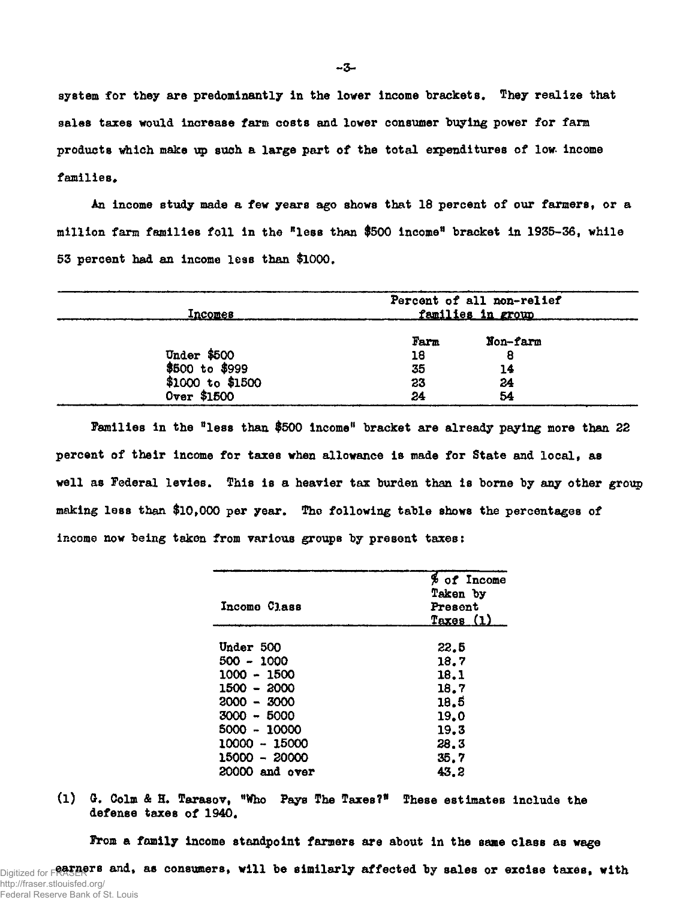system for they are predominantly in the lower income brackets. They realize that sales taxes would increase farm costs and lower consumer buying power for farm products which make up such a large part of the total expenditures of low income families.

An income study made a few years ago shows that 18 percent of our farmers, or a million farm families foil in the "less than \$500 income" bracket in 1935-36, while 53 percent had an income less than \$1000.

| Incomes                              | Percent of all non-relief<br><u>families in group</u> |                     |  |
|--------------------------------------|-------------------------------------------------------|---------------------|--|
| <b>Under \$500</b><br>\$500 to \$999 | Farm<br>18<br>35                                      | Non-farm<br>8<br>14 |  |
| $$1000$ to $$1500$<br>Over \$1500    | 23<br>24                                              | 24<br>54            |  |

Families in the "less than \$500 income" bracket are already paying more than 22 percent of their income for taxes when allowance is made for State and local, as well as Federal levies. This is a heavier tax burden than is borne by any other group making less than \$10,000 per year. The following table shows the percentages of income now being taken from various groups by present taxes:

| Income Class     | % of Income<br>Taken by<br>Present<br><u>Taxes (1)</u> |
|------------------|--------------------------------------------------------|
| Under 500        | 22.5                                                   |
| 500 - 1000       | 18.7                                                   |
| 1000 - 1500      | 18.1                                                   |
| $1500 - 2000$    | 18.7                                                   |
| $2000 - 3000$    | 18.5                                                   |
| $3000 - 5000$    | 19.0                                                   |
| 5000 - 10000     | 19.3                                                   |
| $10000 - 15000$  | 28.3                                                   |
| 15000 - 20000    | 35.7                                                   |
| $20000$ and over | 43.2                                                   |

(l) G. Colm & H. Tarasov, "Who Pays The Taxes?" These estimates include the defense taxes of 1940.

From a family income standpoint farmers are about in the same class as wage

Digitized for **FRASERTS and, as consumers, will be similarly affected by sales or excise taxes, with** http://fraser.stlouisfed.org/ Federal Reserve Bank of St. Louis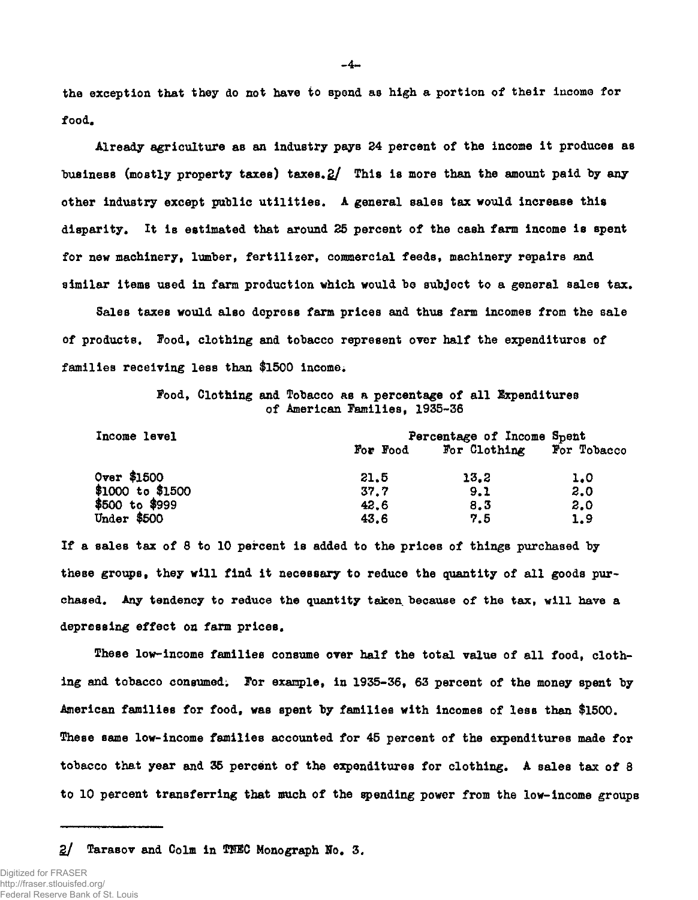the exception that they do not have to spend as high a portion of their income for food.

Already agriculture as an industry pays 24 percent of the income it produces as business (mostly property taxes) taxes.  $2/$  This is more than the amount paid by any other industry except public utilities. A general sales tax would increase this disparity. It is estimated that around 25 percent of the cash farm income is spent for new machinery, lumber, fertilizer, commercial feeds, machinery repairs and similar items used in farm production which would be subject to a general sales tax.

Sales taxes would also depress farm prices and thus farm incomes from the sale of products. Food, clothing and tobacco represent over half the expenditures of families receiving less than \$1500 income.

> Food, Clothing and Tobacco as a percentage of all Expenditures of American Families, 1935-36

| Income level     | Percentage of Income Spent |              |             |  |  |
|------------------|----------------------------|--------------|-------------|--|--|
|                  | For Food                   | For Clothing | For Tobacco |  |  |
| Over \$1500      | 21.5                       | 13.2         | 1.0         |  |  |
| \$1000 to \$1500 | 37.7                       | 9.1          | 2.0         |  |  |
| \$500 to \$999   | 42.6                       | 8.3          | 2.0         |  |  |
| Under \$500      | 43.6                       | 7.5          | 1.9         |  |  |

If a sales tax of 8 to 10 percent is added to the prices of things purchased by these groups, they will find it necessary to reduce the quantity of all goods purchased. Any tendency to reduce the quantity taken because of the tax, will have a depressing effect on farm prices.

These low-income families consume over half the total value of all food, clothing and tobacco consumed; For example, in 1935-36, 63 percent of the money spent by American families for food, was spent by families with incomes of less than \$1500. These same low-income families accounted for 45 percent of the expenditures made for tobacco that year and 35 percent of the expenditures for clothing. A sales tax of 8 to 10 percent transferring that much of the spending power from the low-income groups

2/ Tarasov and Colm in THBC Monograph No. 3.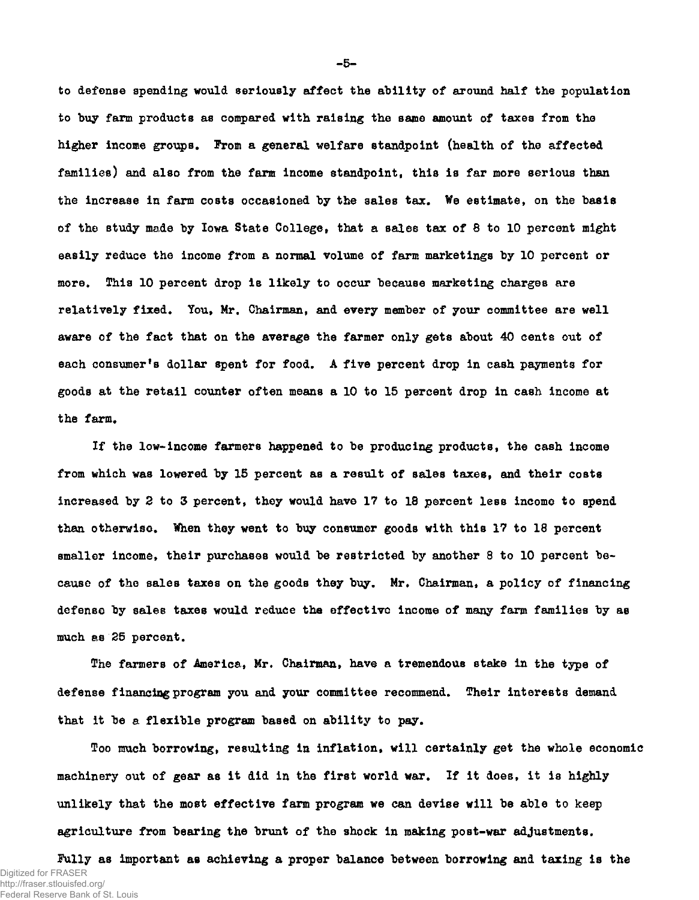to defense spending would seriously affect the ability of around half the population to buy farm products as compared with raising the same amount of taxes from the higher income groups, Prom a general welfare standpoint (health of the affected families) and also from the farm income standpoint, this is far more serious than the increase in farm costs occasioned by the sales tax. We estimate, on the basis of the study made by Iowa State College, that a sales tax of 8 to 10 percent might easily reduce the income from a normal volume of farm marketings by 10 percent or more. This 10 percent drop is likely to occur because marketing charges are relatively fixed. You, Mr. Chairman, and every member of your committee are well aware of the fact that on the average the farmer only gets about 40 cents out of each consumer's dollar spent for food. A five percent drop in cash payments for goods at the retail counter often means a 10 to 15 percent drop in cash income at the farm.

If the low-income farmers happened to be producing products, the cash income from which was lowered by 15 percent as a result of sales taxes, and their costs increased by 2 to 3 percent, they would have 17 to 18 percent less income to spend than otherwise. When they went to buy consumer goods with this 17 to 18 percent smaller income, their purchases would be restricted by another 8 to 10 percent because of the sales taxes on the goods they buy. Mr. Chairman, a policy of financing defense by sales taxes would reduce the effective income of many farm families by as much as 25 percent.

The farmers of America, Mr. Chairman, have a tremendous stake in the type of defense financing program you and your committee recommend. Their interests demand that it be a flexible program based on ability to pay.

Too much borrowing, resulting in inflation, will certainly get the whole economic machinery out of gear as it did in the first world war. If it does, it is highly unlikely that the most effective farm program we can devise will be able to keep agriculture from bearing the brunt of the shock in making post-war adjustments.

Fully as important as achieving a proper balance between borrowing and taxing is the Digitized for FRASER http://fraser.stlouisfed.org/ Federal Reserve Bank of St. Louis

**- 5 -**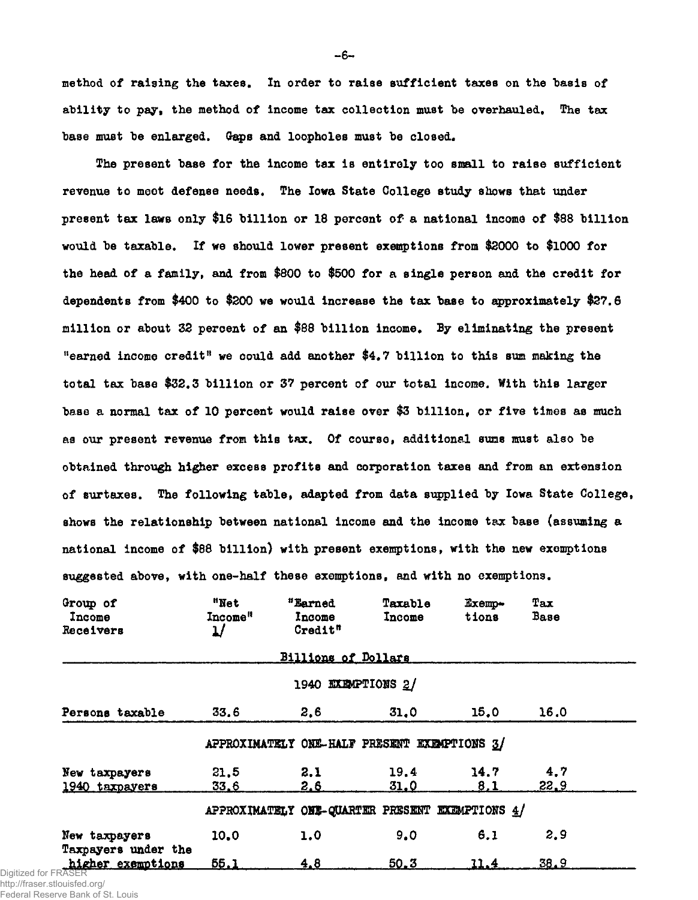method of raising the taxes. In order to raise sufficient taxes on the basis of ability to pay, the method of income tax collection must be overhauled. The tax base must be enlarged. Gaps and loopholes must be closed.

The present base for the income tax is entirely too small to raise sufficient revenue to moot defense needs. The Iowa State College study shows that under present tax laws only \$16 billion or 18 percent of a national income of \$88 billion would be taxable. If we should lower present exemptions from \$3000 to \$1000 for the head of a family, and from \$800 to \$500 for a single person and the credit for dependents from \$400 to \$200 we would increase the tax base to approximately \$27.6 million or about 32 percent of an \$88 billion income. By eliminating the present "earned income credit" we could add another  $$4.7$  billion to this sum making the total tax base \$32.3 billion or 37 percent of our total income. With this larger base a normal tax of 10 percent would raise over \$3 billion, or five times as much as our present revenue from this tax. Of course, additional sums must also be obtained through higher excess profits and corporation taxes and from an extension of surtaxes. The following table, adapted from data supplied by Iowa State College, shows the relationship between national income and the income tax base (assuming a national income of \$88 billion) with present exemptions, with the new exemptions suggested above, with one-half these exemptions, and with no exemptions.

| Group of<br>Income<br>Receivers                   | "Net<br>Income"<br>ป | "Earned<br>Income<br>Credit" | Taxable<br>Income | Exemp-<br>tions                                 | Tax<br>Base |  |
|---------------------------------------------------|----------------------|------------------------------|-------------------|-------------------------------------------------|-------------|--|
|                                                   |                      | <b>Billions of Dollars</b>   |                   |                                                 |             |  |
| 1940 EXEMPTIONS 2/                                |                      |                              |                   |                                                 |             |  |
| Persons taxable                                   | 33.6                 | 2.6                          | 31.0              | 15.0                                            | 16.0        |  |
| APPROXIMATELY ONE-HALF PRESENT EXEMPTIONS 3/      |                      |                              |                   |                                                 |             |  |
| New taxpayers<br>1940 taxpayers                   | 21.5<br><u>33.6</u>  | 2.1<br><u>2.6</u>            | 19.4<br>31.0      | 14.7<br>8,1                                     | 4,7<br>22.9 |  |
|                                                   |                      |                              |                   | APPROXIMATELY ONE-QUARTER PRESENT EXEMPTIONS 4/ |             |  |
| New taxpayers                                     | 10.0                 | 1,0                          | 9.0               | 6.1                                             | 2.9         |  |
| Taxpayers under the<br>higher exemptions<br>'ASFR | 55.1                 | 4.8                          | 50.3              | 11.4                                            | 38.9        |  |

Digitized for FRASE http://fraser.stlouisfed.org/

Federal Reserve Bank of St. Louis

**- 6 -**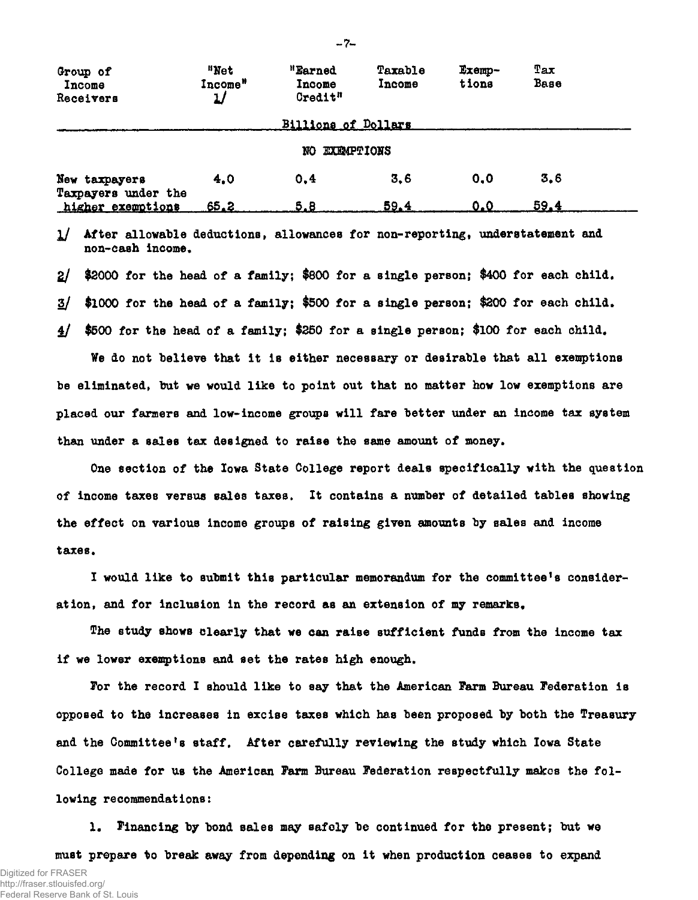| Group of<br>Income<br>Receivers      | "Net<br>Income <sup>*</sup> | "Earned<br>Income<br>Credit" | Taxable<br>Income | Exemp-<br>tions | Tax<br>Base |  |
|--------------------------------------|-----------------------------|------------------------------|-------------------|-----------------|-------------|--|
|                                      |                             | <b>Billions of Dollars</b>   |                   |                 |             |  |
| <b>EXEMPTIONS</b><br>NO.             |                             |                              |                   |                 |             |  |
| New taxpayers<br>Taxpayers under the | 4.0                         | 0.4                          | 3.6               | 0.0             | 3,6         |  |
| higher exemptions                    | <u>65.2</u>                 | 5.8                          | 59.4              | 0.0             | 59.4        |  |

l] After allowable deductions, allowances for non-reporting, understatement and non-cash income.

2/ \$2000 for the head of a family; \$800 for a single person; \$400 for each child,

3/ \$1000 for the head of a family; \$500 for a single person; \$200 for each child.

£/ \$500 for the head of a family; \$250 for a single person; \$100 for each child.

Ve do not believe that it is either necessary or desirable that all exemptions be eliminated, but we would like to point out that no matter how low exemptions are placed our farmers and low-income groups will fare better under an income tax system than under a sales tax designed to raise the same amount of money.

One section of the Iowa State College report deals specifically with the question of income taxes versus salds taxes. It contains a number of detailed tables showing the effect on various income groups of raising given amounts by sales and income taxes.

I would like to submit this particular memorandum for the committee<sup>f</sup>s consideration, and for inclusion in the record as an extension of my remarks.

The study shows clearly that we can raise sufficient funds from the income tax if we lower exemptions and set the rates high enough.

For the record I should like to say that the American Farm Bureau Federation is opposed to the increases in excise taxes which has been proposed by both the Treasury and the Committee's staff. After carefully reviewing the study which Iowa State College made for us the American Farm Bureau Federation respectfully makes the following recommendations:

1. Financing by bond sales may safely be continued for the present; but we must prepare to break away from depending on it when production ceases to expand